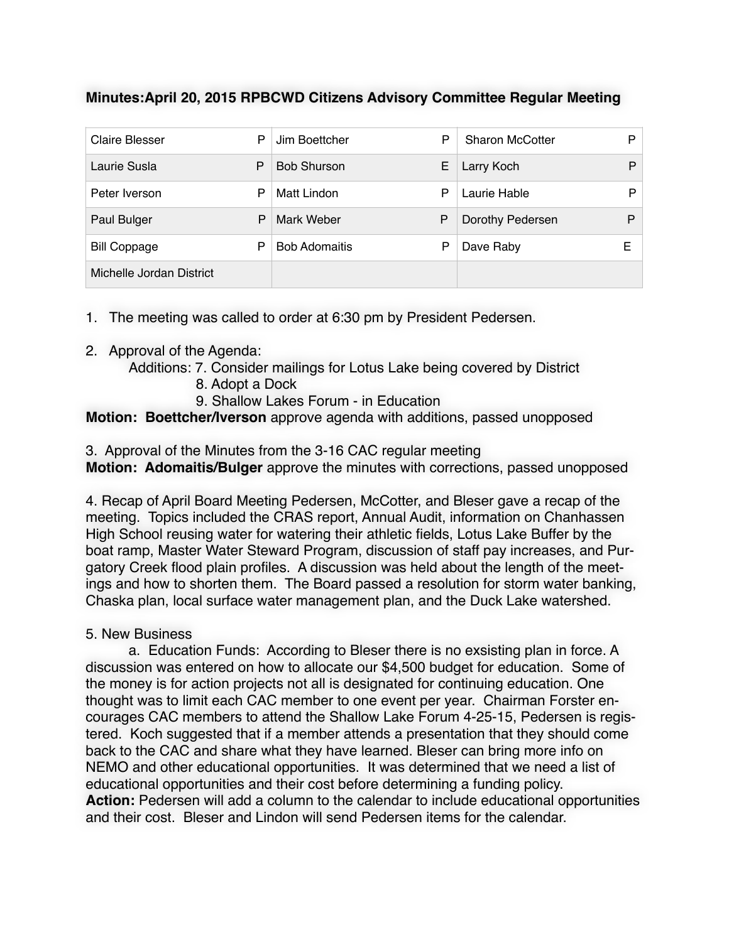## **Minutes:April 20, 2015 RPBCWD Citizens Advisory Committee Regular Meeting**

| <b>Claire Blesser</b>    | P | Jim Boettcher        | P | <b>Sharon McCotter</b> | Þ |
|--------------------------|---|----------------------|---|------------------------|---|
| Laurie Susla             | P | <b>Bob Shurson</b>   | Е | Larry Koch             | P |
| Peter Iverson            | P | Matt Lindon          | P | Laurie Hable           | Þ |
| Paul Bulger              | P | Mark Weber           | P | Dorothy Pedersen       | P |
| <b>Bill Coppage</b>      | P | <b>Bob Adomaitis</b> | P | Dave Raby              | Е |
| Michelle Jordan District |   |                      |   |                        |   |

1. The meeting was called to order at 6:30 pm by President Pedersen.

- 2. Approval of the Agenda:
	- Additions: 7. Consider mailings for Lotus Lake being covered by District
		- 8. Adopt a Dock
		- 9. Shallow Lakes Forum in Education

**Motion: Boettcher/Iverson** approve agenda with additions, passed unopposed

3. Approval of the Minutes from the 3-16 CAC regular meeting

**Motion: Adomaitis/Bulger** approve the minutes with corrections, passed unopposed

4. Recap of April Board Meeting Pedersen, McCotter, and Bleser gave a recap of the meeting. Topics included the CRAS report, Annual Audit, information on Chanhassen High School reusing water for watering their athletic fields, Lotus Lake Buffer by the boat ramp, Master Water Steward Program, discussion of staff pay increases, and Purgatory Creek flood plain profiles. A discussion was held about the length of the meetings and how to shorten them. The Board passed a resolution for storm water banking, Chaska plan, local surface water management plan, and the Duck Lake watershed.

## 5. New Business

a. Education Funds: According to Bleser there is no exsisting plan in force. A discussion was entered on how to allocate our \$4,500 budget for education. Some of the money is for action projects not all is designated for continuing education. One thought was to limit each CAC member to one event per year. Chairman Forster encourages CAC members to attend the Shallow Lake Forum 4-25-15, Pedersen is registered. Koch suggested that if a member attends a presentation that they should come back to the CAC and share what they have learned. Bleser can bring more info on NEMO and other educational opportunities. It was determined that we need a list of educational opportunities and their cost before determining a funding policy. **Action:** Pedersen will add a column to the calendar to include educational opportunities and their cost. Bleser and Lindon will send Pedersen items for the calendar.